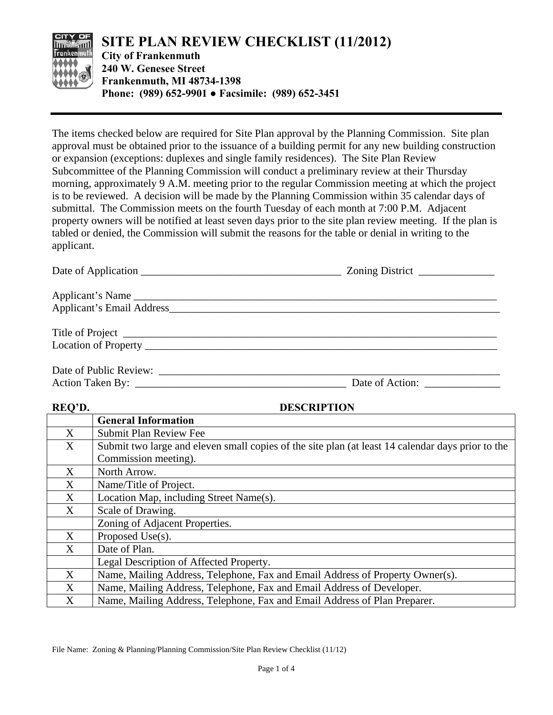

The items checked below are required for Site Plan approval by the Planning Commission. Site plan approval must be obtained prior to the issuance of a building permit for any new building construction or expansion (exceptions: duplexes and single family residences). The Site Plan Review Subcommittee of the Planning Commission will conduct a preliminary review at their Thursday morning, approximately 9 A.M. meeting prior to the regular Commission meeting at which the project is to be reviewed. A decision will be made by the Planning Commission within 35 calendar days of submittal. The Commission meets on the fourth Tuesday of each month at 7:00 P.M. Adjacent property owners will be notified at least seven days prior to the site plan review meeting. If the plan is tabled or denied, the Commission will submit the reasons for the table or denial in writing to the applicant.

|                            | Zoning District                                            |
|----------------------------|------------------------------------------------------------|
| Applicant's Name           |                                                            |
| Applicant's Email Address_ | <u> 1989 - John Stein, Amerikaansk politiker (</u> † 1920) |
|                            |                                                            |
|                            |                                                            |

| Date of Public Review: |         |
|------------------------|---------|
| Action<br>'aken        | Jate of |

REQ'D. **DESCRIPTION General Information**   $X \sim$  Submit Plan Review Fee  $X =$ Submit two large and eleven small copies of the site plan (at least 14 calendar days prior to the Commission meeting). X North Arrow. X | Name/Title of Project. X Location Map, including Street Name(s).  $X$  Scale of Drawing. Zoning of Adjacent Properties. X Proposed Use(s). X Date of Plan. Legal Description of Affected Property. X Name, Mailing Address, Telephone, Fax and Email Address of Property Owner(s). X | Name, Mailing Address, Telephone, Fax and Email Address of Developer. X | Name, Mailing Address, Telephone, Fax and Email Address of Plan Preparer.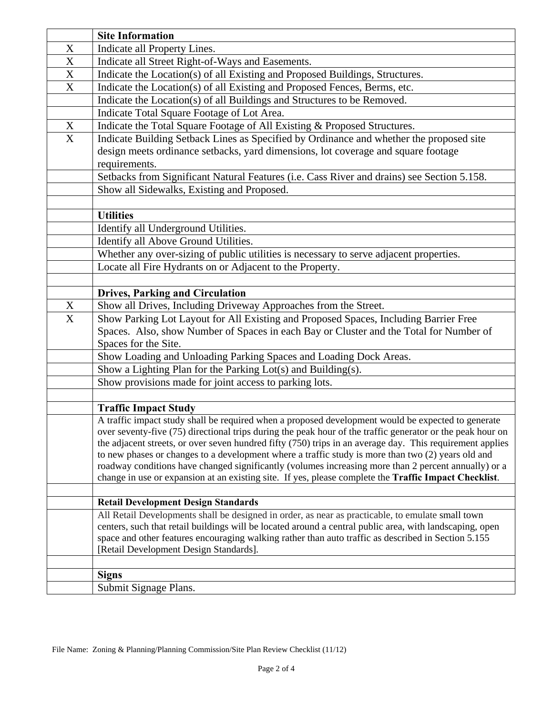|                         | <b>Site Information</b>                                                                                                                                                                                          |  |  |  |
|-------------------------|------------------------------------------------------------------------------------------------------------------------------------------------------------------------------------------------------------------|--|--|--|
| X                       | Indicate all Property Lines.                                                                                                                                                                                     |  |  |  |
| $\overline{\text{X}}$   | Indicate all Street Right-of-Ways and Easements.                                                                                                                                                                 |  |  |  |
| $\mathbf X$             | Indicate the Location(s) of all Existing and Proposed Buildings, Structures.                                                                                                                                     |  |  |  |
| X                       | Indicate the Location(s) of all Existing and Proposed Fences, Berms, etc.                                                                                                                                        |  |  |  |
|                         | Indicate the Location(s) of all Buildings and Structures to be Removed.                                                                                                                                          |  |  |  |
|                         | Indicate Total Square Footage of Lot Area.                                                                                                                                                                       |  |  |  |
| X                       | Indicate the Total Square Footage of All Existing & Proposed Structures.                                                                                                                                         |  |  |  |
| $\overline{\mathbf{X}}$ | Indicate Building Setback Lines as Specified by Ordinance and whether the proposed site                                                                                                                          |  |  |  |
|                         | design meets ordinance setbacks, yard dimensions, lot coverage and square footage                                                                                                                                |  |  |  |
|                         | requirements.                                                                                                                                                                                                    |  |  |  |
|                         | Setbacks from Significant Natural Features (i.e. Cass River and drains) see Section 5.158.                                                                                                                       |  |  |  |
|                         | Show all Sidewalks, Existing and Proposed.                                                                                                                                                                       |  |  |  |
|                         |                                                                                                                                                                                                                  |  |  |  |
|                         | <b>Utilities</b>                                                                                                                                                                                                 |  |  |  |
|                         | Identify all Underground Utilities.                                                                                                                                                                              |  |  |  |
|                         | Identify all Above Ground Utilities.                                                                                                                                                                             |  |  |  |
|                         | Whether any over-sizing of public utilities is necessary to serve adjacent properties.                                                                                                                           |  |  |  |
|                         | Locate all Fire Hydrants on or Adjacent to the Property.                                                                                                                                                         |  |  |  |
|                         |                                                                                                                                                                                                                  |  |  |  |
|                         | <b>Drives, Parking and Circulation</b>                                                                                                                                                                           |  |  |  |
| $\mathbf X$             | Show all Drives, Including Driveway Approaches from the Street.                                                                                                                                                  |  |  |  |
| X                       | Show Parking Lot Layout for All Existing and Proposed Spaces, Including Barrier Free                                                                                                                             |  |  |  |
|                         | Spaces. Also, show Number of Spaces in each Bay or Cluster and the Total for Number of                                                                                                                           |  |  |  |
|                         | Spaces for the Site.                                                                                                                                                                                             |  |  |  |
|                         | Show Loading and Unloading Parking Spaces and Loading Dock Areas.                                                                                                                                                |  |  |  |
|                         | Show a Lighting Plan for the Parking Lot(s) and Building(s).                                                                                                                                                     |  |  |  |
|                         | Show provisions made for joint access to parking lots.                                                                                                                                                           |  |  |  |
|                         |                                                                                                                                                                                                                  |  |  |  |
|                         | <b>Traffic Impact Study</b>                                                                                                                                                                                      |  |  |  |
|                         | A traffic impact study shall be required when a proposed development would be expected to generate<br>over seventy-five (75) directional trips during the peak hour of the traffic generator or the peak hour on |  |  |  |
|                         | the adjacent streets, or over seven hundred fifty (750) trips in an average day. This requirement applies                                                                                                        |  |  |  |
|                         | to new phases or changes to a development where a traffic study is more than two (2) years old and                                                                                                               |  |  |  |
|                         | roadway conditions have changed significantly (volumes increasing more than 2 percent annually) or a                                                                                                             |  |  |  |
|                         | change in use or expansion at an existing site. If yes, please complete the Traffic Impact Checklist.                                                                                                            |  |  |  |
|                         |                                                                                                                                                                                                                  |  |  |  |
|                         | <b>Retail Development Design Standards</b>                                                                                                                                                                       |  |  |  |
|                         | All Retail Developments shall be designed in order, as near as practicable, to emulate small town                                                                                                                |  |  |  |
|                         | centers, such that retail buildings will be located around a central public area, with landscaping, open                                                                                                         |  |  |  |
|                         | space and other features encouraging walking rather than auto traffic as described in Section 5.155<br>[Retail Development Design Standards].                                                                    |  |  |  |
|                         |                                                                                                                                                                                                                  |  |  |  |
|                         | <b>Signs</b>                                                                                                                                                                                                     |  |  |  |
|                         | Submit Signage Plans.                                                                                                                                                                                            |  |  |  |
|                         |                                                                                                                                                                                                                  |  |  |  |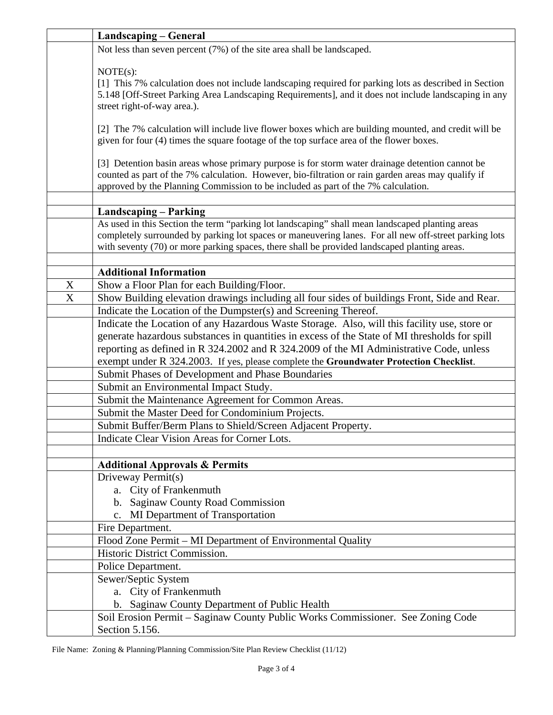|                           | <b>Landscaping - General</b>                                                                                                                                                                                   |  |  |  |
|---------------------------|----------------------------------------------------------------------------------------------------------------------------------------------------------------------------------------------------------------|--|--|--|
|                           | Not less than seven percent (7%) of the site area shall be landscaped.                                                                                                                                         |  |  |  |
|                           |                                                                                                                                                                                                                |  |  |  |
|                           | $NOTE(s)$ :                                                                                                                                                                                                    |  |  |  |
|                           | [1] This 7% calculation does not include landscaping required for parking lots as described in Section<br>5.148 [Off-Street Parking Area Landscaping Requirements], and it does not include landscaping in any |  |  |  |
|                           | street right-of-way area.).                                                                                                                                                                                    |  |  |  |
|                           |                                                                                                                                                                                                                |  |  |  |
|                           | [2] The 7% calculation will include live flower boxes which are building mounted, and credit will be                                                                                                           |  |  |  |
|                           | given for four (4) times the square footage of the top surface area of the flower boxes.                                                                                                                       |  |  |  |
|                           |                                                                                                                                                                                                                |  |  |  |
|                           | [3] Detention basin areas whose primary purpose is for storm water drainage detention cannot be<br>counted as part of the 7% calculation. However, bio-filtration or rain garden areas may qualify if          |  |  |  |
|                           | approved by the Planning Commission to be included as part of the 7% calculation.                                                                                                                              |  |  |  |
|                           |                                                                                                                                                                                                                |  |  |  |
|                           | <b>Landscaping - Parking</b>                                                                                                                                                                                   |  |  |  |
|                           | As used in this Section the term "parking lot landscaping" shall mean landscaped planting areas                                                                                                                |  |  |  |
|                           | completely surrounded by parking lot spaces or maneuvering lanes. For all new off-street parking lots                                                                                                          |  |  |  |
|                           | with seventy (70) or more parking spaces, there shall be provided landscaped planting areas.                                                                                                                   |  |  |  |
|                           |                                                                                                                                                                                                                |  |  |  |
|                           | <b>Additional Information</b>                                                                                                                                                                                  |  |  |  |
| $\boldsymbol{\mathrm{X}}$ | Show a Floor Plan for each Building/Floor.                                                                                                                                                                     |  |  |  |
| X                         | Show Building elevation drawings including all four sides of buildings Front, Side and Rear.                                                                                                                   |  |  |  |
|                           | Indicate the Location of the Dumpster(s) and Screening Thereof.                                                                                                                                                |  |  |  |
|                           | Indicate the Location of any Hazardous Waste Storage. Also, will this facility use, store or                                                                                                                   |  |  |  |
|                           | generate hazardous substances in quantities in excess of the State of MI thresholds for spill                                                                                                                  |  |  |  |
|                           | reporting as defined in R 324.2002 and R 324.2009 of the MI Administrative Code, unless                                                                                                                        |  |  |  |
|                           | exempt under R 324.2003. If yes, please complete the Groundwater Protection Checklist.                                                                                                                         |  |  |  |
|                           | Submit Phases of Development and Phase Boundaries                                                                                                                                                              |  |  |  |
|                           | Submit an Environmental Impact Study.                                                                                                                                                                          |  |  |  |
|                           | Submit the Maintenance Agreement for Common Areas.                                                                                                                                                             |  |  |  |
|                           | Submit the Master Deed for Condominium Projects.                                                                                                                                                               |  |  |  |
|                           | Submit Buffer/Berm Plans to Shield/Screen Adjacent Property.                                                                                                                                                   |  |  |  |
|                           | Indicate Clear Vision Areas for Corner Lots.                                                                                                                                                                   |  |  |  |
|                           |                                                                                                                                                                                                                |  |  |  |
|                           | <b>Additional Approvals &amp; Permits</b>                                                                                                                                                                      |  |  |  |
|                           | Driveway Permit(s)                                                                                                                                                                                             |  |  |  |
|                           | a. City of Frankenmuth                                                                                                                                                                                         |  |  |  |
|                           | b. Saginaw County Road Commission                                                                                                                                                                              |  |  |  |
|                           | c. MI Department of Transportation                                                                                                                                                                             |  |  |  |
|                           | Fire Department.                                                                                                                                                                                               |  |  |  |
|                           | Flood Zone Permit - MI Department of Environmental Quality                                                                                                                                                     |  |  |  |
|                           | Historic District Commission.                                                                                                                                                                                  |  |  |  |
|                           | Police Department.                                                                                                                                                                                             |  |  |  |
|                           | Sewer/Septic System                                                                                                                                                                                            |  |  |  |
|                           | a. City of Frankenmuth                                                                                                                                                                                         |  |  |  |
|                           | b. Saginaw County Department of Public Health                                                                                                                                                                  |  |  |  |
|                           | Soil Erosion Permit – Saginaw County Public Works Commissioner. See Zoning Code                                                                                                                                |  |  |  |
|                           | Section 5.156.                                                                                                                                                                                                 |  |  |  |

File Name: Zoning & Planning/Planning Commission/Site Plan Review Checklist (11/12)